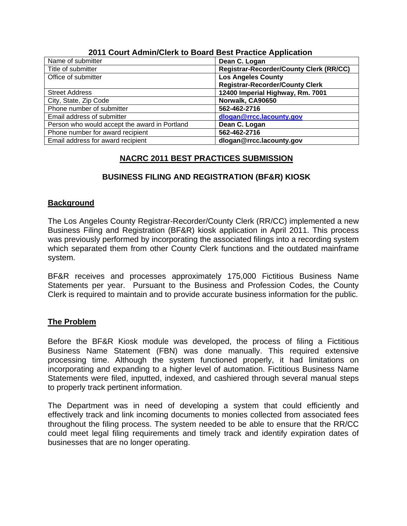| Name of submitter                             | Dean C. Logan                                  |
|-----------------------------------------------|------------------------------------------------|
| Title of submitter                            | <b>Registrar-Recorder/County Clerk (RR/CC)</b> |
| Office of submitter                           | <b>Los Angeles County</b>                      |
|                                               | <b>Registrar-Recorder/County Clerk</b>         |
| <b>Street Address</b>                         | 12400 Imperial Highway, Rm. 7001               |
| City, State, Zip Code                         | Norwalk, CA90650                               |
| Phone number of submitter                     | 562-462-2716                                   |
| Email address of submitter                    | dlogan@rrcc.lacounty.gov                       |
| Person who would accept the award in Portland | Dean C. Logan                                  |
| Phone number for award recipient              | 562-462-2716                                   |
| Email address for award recipient             | dlogan@rrcc.lacounty.gov                       |

#### **2011 Court Admin/Clerk to Board Best Practice Application**

# **NACRC 2011 BEST PRACTICES SUBMISSION**

# **BUSINESS FILING AND REGISTRATION (BF&R) KIOSK**

## **Background**

The Los Angeles County Registrar-Recorder/County Clerk (RR/CC) implemented a new Business Filing and Registration (BF&R) kiosk application in April 2011. This process was previously performed by incorporating the associated filings into a recording system which separated them from other County Clerk functions and the outdated mainframe system.

BF&R receives and processes approximately 175,000 Fictitious Business Name Statements per year. Pursuant to the Business and Profession Codes, the County Clerk is required to maintain and to provide accurate business information for the public.

## **The Problem**

Before the BF&R Kiosk module was developed, the process of filing a Fictitious Business Name Statement (FBN) was done manually. This required extensive processing time. Although the system functioned properly, it had limitations on incorporating and expanding to a higher level of automation. Fictitious Business Name Statements were filed, inputted, indexed, and cashiered through several manual steps to properly track pertinent information.

The Department was in need of developing a system that could efficiently and effectively track and link incoming documents to monies collected from associated fees throughout the filing process. The system needed to be able to ensure that the RR/CC could meet legal filing requirements and timely track and identify expiration dates of businesses that are no longer operating.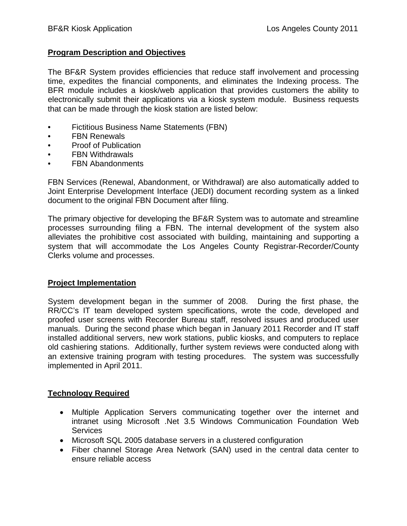#### **Program Description and Objectives**

The BF&R System provides efficiencies that reduce staff involvement and processing time, expedites the financial components, and eliminates the Indexing process. The BFR module includes a kiosk/web application that provides customers the ability to electronically submit their applications via a kiosk system module. Business requests that can be made through the kiosk station are listed below:

- Fictitious Business Name Statements (FBN)
- FBN Renewals
- Proof of Publication
- **FBN Withdrawals**
- FBN Abandonments

FBN Services (Renewal, Abandonment, or Withdrawal) are also automatically added to Joint Enterprise Development Interface (JEDI) document recording system as a linked document to the original FBN Document after filing.

The primary objective for developing the BF&R System was to automate and streamline processes surrounding filing a FBN. The internal development of the system also alleviates the prohibitive cost associated with building, maintaining and supporting a system that will accommodate the Los Angeles County Registrar-Recorder/County Clerks volume and processes.

#### **Project Implementation**

System development began in the summer of 2008. During the first phase, the RR/CC's IT team developed system specifications, wrote the code, developed and proofed user screens with Recorder Bureau staff, resolved issues and produced user manuals. During the second phase which began in January 2011 Recorder and IT staff installed additional servers, new work stations, public kiosks, and computers to replace old cashiering stations. Additionally, further system reviews were conducted along with an extensive training program with testing procedures. The system was successfully implemented in April 2011.

#### **Technology Required**

- Multiple Application Servers communicating together over the internet and intranet using Microsoft .Net 3.5 Windows Communication Foundation Web **Services**
- Microsoft SQL 2005 database servers in a clustered configuration
- Fiber channel Storage Area Network (SAN) used in the central data center to ensure reliable access